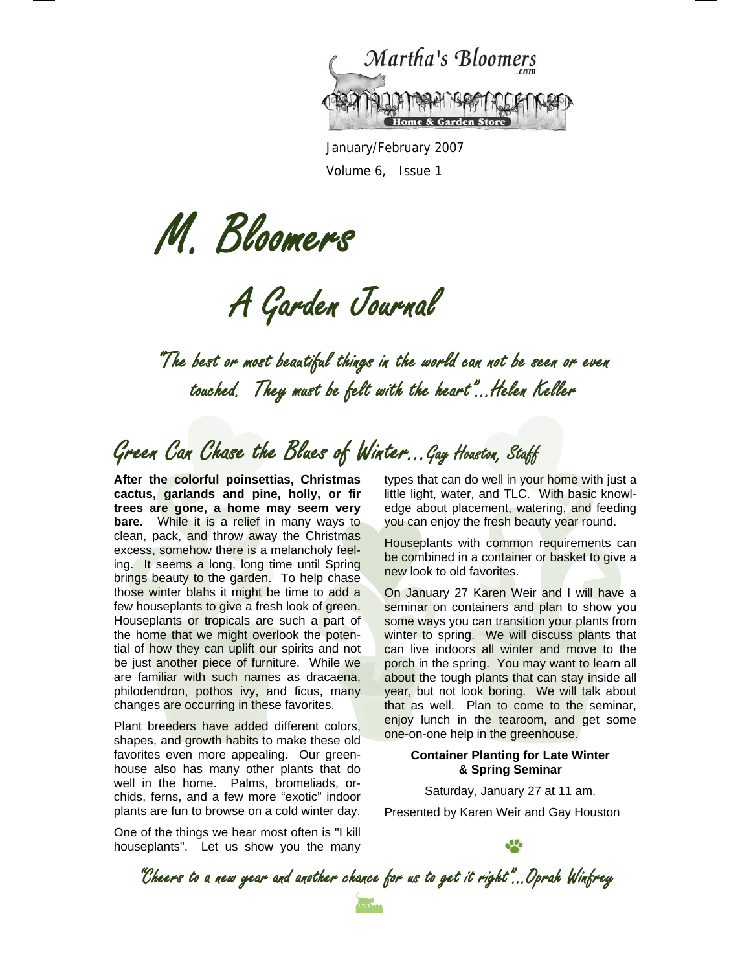

January/February 2007 Volume 6, Issue 1

M. Bloomers

A Garden Journal

"The best or most beautiful things in the world can not be seen or even touched. They must be felt with the heart"...Helen Keller

## Green Can Chase the Blues of Winter...Gay Houston, Staff

**After the colorful poinsettias, Christmas cactus, garlands and pine, holly, or fir trees are gone, a home may seem very bare.** While it is a relief in many ways to clean, pack, and throw away the Christmas excess, somehow there is a melancholy feeling. It seems a long, long time until Spring brings beauty to the garden. To help chase those winter blahs it might be time to add a few houseplants to give a fresh look of green. Houseplants or tropicals are such a part of the home that we might overlook the potential of how they can uplift our spirits and not be just another piece of furniture. While we are familiar with such names as dracaena, philodendron, pothos ivy, and ficus, many changes are occurring in these favorites.

Plant breeders have added different colors, shapes, and growth habits to make these old favorites even more appealing. Our greenhouse also has many other plants that do well in the home. Palms, bromeliads, orchids, ferns, and a few more "exotic" indoor plants are fun to browse on a cold winter day.

One of the things we hear most often is "I kill houseplants". Let us show you the many types that can do well in your home with just a little light, water, and TLC. With basic knowledge about placement, watering, and feeding you can enjoy the fresh beauty year round.

Houseplants with common requirements can be combined in a container or basket to give a new look to old favorites.

On January 27 Karen Weir and I will have a seminar on containers and plan to show you some ways you can transition your plants from winter to spring. We will discuss plants that can live indoors all winter and move to the porch in the spring. You may want to learn all about the tough plants that can stay inside all year, but not look boring. We will talk about that as well. Plan to come to the seminar, enjoy lunch in the tearoom, and get some one-on-one help in the greenhouse.

### **Container Planting for Late Winter & Spring Seminar**

Saturday, January 27 at 11 am.

Presented by Karen Weir and Gay Houston

"Cheers to a new year and another chance for us to get it right"...Oprah Winfrey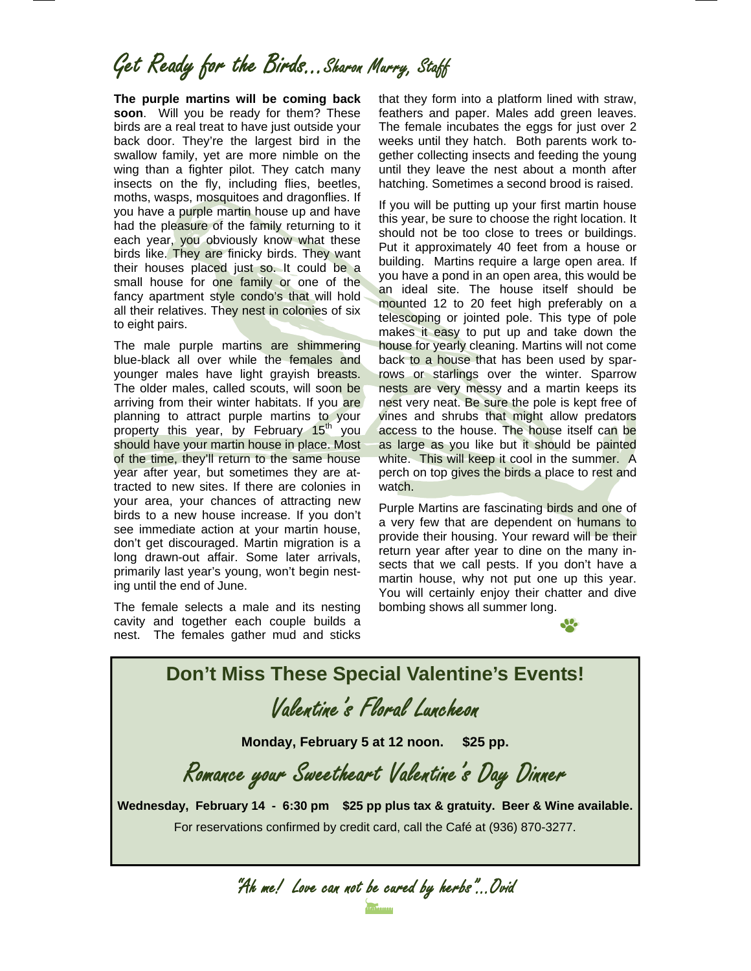## Get Ready for the Birds...Sharon Murry, Staff

**The purple martins will be coming back soon**. Will you be ready for them? These birds are a real treat to have just outside your back door. They're the largest bird in the swallow family, yet are more nimble on the wing than a fighter pilot. They catch many insects on the fly, including flies, beetles, moths, wasps, mosquitoes and dragonflies. If you have a purple martin house up and have had the pleasure of the family returning to it each year, you obviously know what these birds like. They are finicky birds. They want their houses placed just so. It could be a small house for one family or one of the fancy apartment style condo's that will hold all their relatives. They nest in colonies of six to eight pairs.

The male purple martins are shimmering blue-black all over while the females and younger males have light grayish breasts. The older males, called scouts, will soon be arriving from their winter habitats. If you are planning to attract purple martins to your property this year, by February 15<sup>th</sup> you should have your martin house in place. Most of the time, they'll return to the same house year after year, but sometimes they are attracted to new sites. If there are colonies in your area, your chances of attracting new birds to a new house increase. If you don't see immediate action at your martin house, don't get discouraged. Martin migration is a long drawn-out affair. Some later arrivals, primarily last year's young, won't begin nesting until the end of June.

The female selects a male and its nesting cavity and together each couple builds a nest. The females gather mud and sticks that they form into a platform lined with straw, feathers and paper. Males add green leaves. The female incubates the eggs for just over 2 weeks until they hatch. Both parents work together collecting insects and feeding the young until they leave the nest about a month after hatching. Sometimes a second brood is raised.

If you will be putting up your first martin house this year, be sure to choose the right location. It should not be too close to trees or buildings. Put it approximately 40 feet from a house or building. Martins require a large open area. If you have a pond in an open area, this would be an ideal site. The house itself should be mounted 12 to 20 feet high preferably on a telescoping or jointed pole. This type of pole makes it easy to put up and take down the house for yearly cleaning. Martins will not come back to a house that has been used by sparrows or starlings over the winter. Sparrow nests are very messy and a martin keeps its nest very neat. Be sure the pole is kept free of vines and shrubs that might allow predators access to the house. The house itself can be as large as you like but it should be painted white. This will keep it cool in the summer. A perch on top gives the birds a place to rest and watch.

Purple Martins are fascinating birds and one of a very few that are dependent on humans to provide their housing. Your reward will be their return year after year to dine on the many insects that we call pests. If you don't have a martin house, why not put one up this year. You will certainly enjoy their chatter and dive bombing shows all summer long.





"Ah me! Love can not be cured by herbs"...Ovid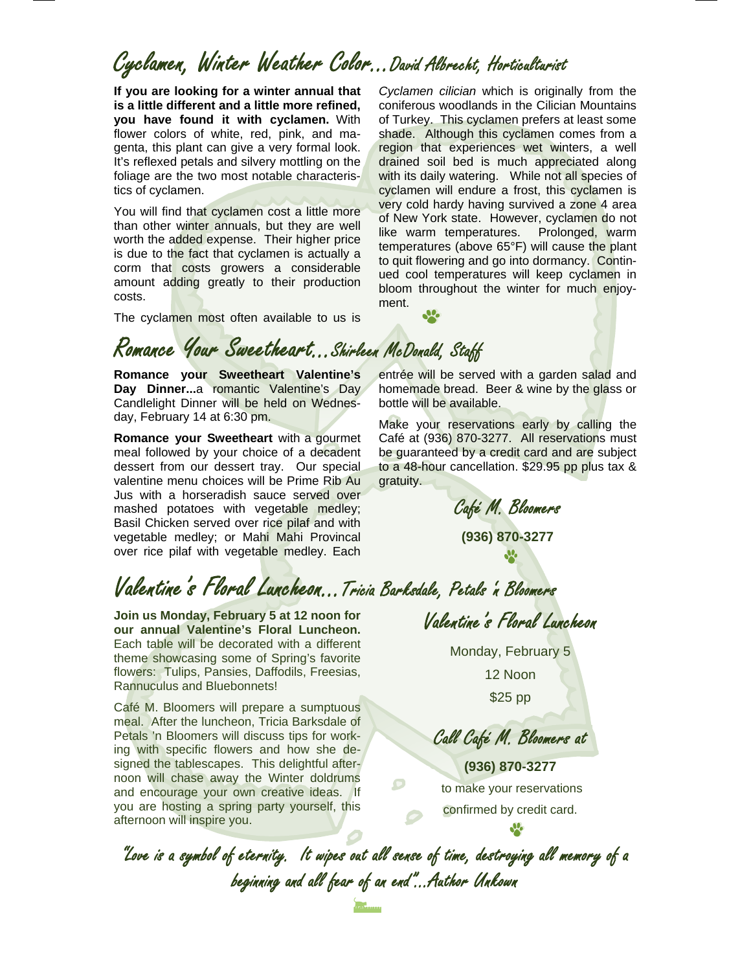## Cyclamen, Winter Weather Color...David Albrecht, Horticulturist

ment.

**If you are looking for a winter annual that is a little different and a little more refined, you have found it with cyclamen.** With flower colors of white, red, pink, and magenta, this plant can give a very formal look. It's reflexed petals and silvery mottling on the foliage are the two most notable characteristics of cyclamen.

You will find that cyclamen cost a little more than other winter annuals, but they are well worth the added expense. Their higher price is due to the fact that cyclamen is actually a corm that costs growers a considerable amount adding greatly to their production costs.

The cyclamen most often available to us is

Romance Your Sweetheart...Shirleen McDonald, Staff

**Romance your Sweetheart Valentine's Day Dinner...**a romantic Valentine's Day Candlelight Dinner will be held on Wednesday, February 14 at 6:30 pm.

**Romance your Sweetheart** with a gourmet meal followed by your choice of a decadent dessert from our dessert tray. Our special valentine menu choices will be Prime Rib Au Jus with a horseradish sauce served over mashed potatoes with vegetable medley; Basil Chicken served over rice pilaf and with vegetable medley; or Mahi Mahi Provincal over rice pilaf with vegetable medley. Each

entrée will be served with a garden salad and homemade bread. Beer & wine by the glass or bottle will be available.

*Cyclamen cilician* which is originally from the coniferous woodlands in the Cilician Mountains of Turkey. This cyclamen prefers at least some shade. Although this cyclamen comes from a region that experiences wet winters, a well drained soil bed is much appreciated along with its daily watering. While not all species of cyclamen will endure a frost, this cyclamen is very cold hardy having survived a zone 4 area of New York state. However, cyclamen do not like warm temperatures. Prolonged, warm temperatures (above 65°F) will cause the plant to quit flowering and go into dormancy. Continued cool temperatures will keep cyclamen in bloom throughout the winter for much enjoy-

Make your reservations early by calling the Café at (936) 870-3277. All reservations must be guaranteed by a credit card and are subject to a 48-hour cancellation. \$29.95 pp plus tax & gratuity.

Café M. Bloomers

**(936) 870-3277**  J.

# Valentine's Floral Luncheon...Tricia Barksdale, Petals 'n Bloomers

**Join us Monday, February 5 at 12 noon for our annual Valentine's Floral Luncheon.**  Each table will be decorated with a different theme showcasing some of Spring's favorite flowers: Tulips, Pansies, Daffodils, Freesias, Rannuculus and Bluebonnets!

Café M. Bloomers will prepare a sumptuous meal. After the luncheon, Tricia Barksdale of Petals 'n Bloomers will discuss tips for working with specific flowers and how she designed the tablescapes. This delightful afternoon will chase away the Winter doldrums and encourage your own creative ideas. If you are hosting a spring party yourself, this afternoon will inspire you.

Valentine's Floral Luncheon

Monday, February 5

12 Noon \$25 pp

Call Café M. Bloomers at

**(936) 870-3277**  to make your reservations confirmed by credit card.

"Love is a symbol of eternity. It wipes out all sense of time, destroying all memory of a beginning and all fear of an end"...Author Unkown

 $\Box$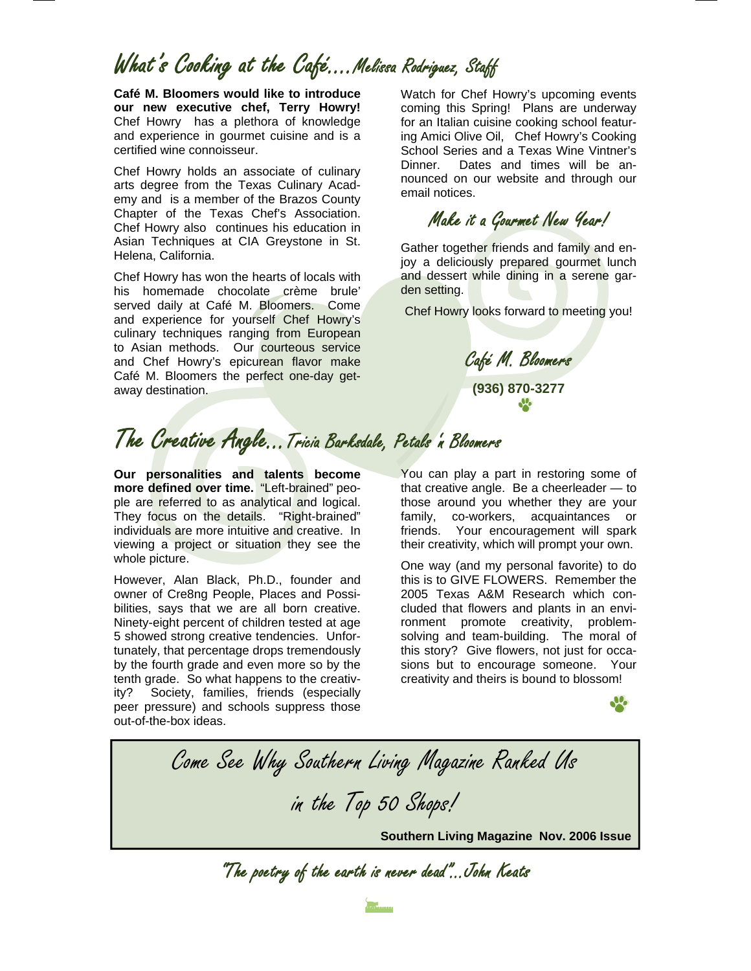### What's Cooking at the Café….Melissa Rodriguez, Staff

**Café M. Bloomers would like to introduce our new executive chef, Terry Howry!** Chef Howry has a plethora of knowledge and experience in gourmet cuisine and is a certified wine connoisseur.

Chef Howry holds an associate of culinary arts degree from the Texas Culinary Academy and is a member of the Brazos County Chapter of the Texas Chef's Association. Chef Howry also continues his education in Asian Techniques at CIA Greystone in St. Helena, California.

Chef Howry has won the hearts of locals with his homemade chocolate crème brule' served daily at Café M. Bloomers. Come and experience for yourself Chef Howry's culinary techniques ranging from European to Asian methods. Our courteous service and Chef Howry's epicurean flavor make Café M. Bloomers the perfect one-day getaway destination.

Watch for Chef Howry's upcoming events coming this Spring! Plans are underway for an Italian cuisine cooking school featuring Amici Olive Oil, Chef Howry's Cooking School Series and a Texas Wine Vintner's Dinner. Dates and times will be announced on our website and through our email notices.

Make it a Gourmet New Year!

Gather together friends and family and enjoy a deliciously prepared gourmet lunch and dessert while dining in a serene garden setting.

Chef Howry looks forward to meeting you!

Café M. Bloomers **(936) 870-3277**   $\mathfrak{R}$ 

## The Creative Angle...Tricia Barksdale, Petals 'n Bloomers

**Our personalities and talents become more defined over time.** "Left-brained" people are referred to as analytical and logical. They focus on the details. "Right-brained" individuals are more intuitive and creative. In viewing a project or situation they see the whole picture.

However, Alan Black, Ph.D., founder and owner of Cre8ng People, Places and Possibilities, says that we are all born creative. Ninety-eight percent of children tested at age 5 showed strong creative tendencies. Unfortunately, that percentage drops tremendously by the fourth grade and even more so by the tenth grade. So what happens to the creativity? Society, families, friends (especially peer pressure) and schools suppress those out-of-the-box ideas.

You can play a part in restoring some of that creative angle. Be a cheerleader — to those around you whether they are your family, co-workers, acquaintances or friends. Your encouragement will spark their creativity, which will prompt your own.

One way (and my personal favorite) to do this is to GIVE FLOWERS. Remember the 2005 Texas A&M Research which concluded that flowers and plants in an environment promote creativity, problemsolving and team-building. The moral of this story? Give flowers, not just for occasions but to encourage someone. Your creativity and theirs is bound to blossom!

Come See Why Southern Living Magazine Ranked Us in the Top 50 Shops!**Southern Living Magazine Nov. 2006 Issue** 

"The poetry of the earth is never dead"...John Keats